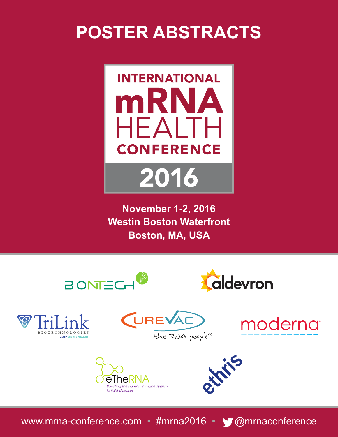# **POSTER ABSTRACTS**



**November 1-2, 2016 Westin Boston Waterfront Boston, MA, USA**













www.mrna-conference.com • #mrna2016 • @mrnaconference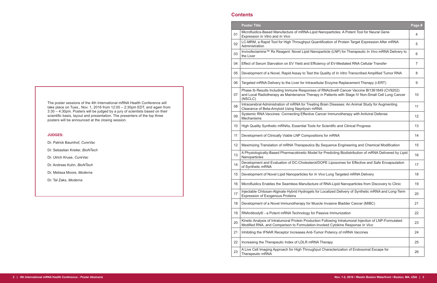#### **Contents**

|    | <b>Poster Title</b>                                                                                                                                                                                         | Page #         |
|----|-------------------------------------------------------------------------------------------------------------------------------------------------------------------------------------------------------------|----------------|
| 01 | Microfluidics-Based Manufacture of mRNA-Lipid Nanoparticles: A Potent Tool for Neural Gene<br>Expression In Vitro and In Vivo                                                                               | $\overline{4}$ |
| 02 | LC-MRM, a Rapid Tool for High Throughput Quantification of Protein Target Expression After mRNA<br>Administration                                                                                           | 5              |
| 03 | Invivofectamine™ Rx Reagent: Novel Lipid Nanoparticle (LNP) for Therapeutic In Vivo mRNA Delivery to<br>the Liver                                                                                           | 6              |
| 04 | Effect of Serum Starvation on EV Yield and Efficiency of EV-Mediated RNA Cellular Transfer                                                                                                                  | $\overline{7}$ |
| 05 | Development of a Novel, Rapid Assay to Test the Quality of In Vitro Transcribed Amplified Tumor RNA                                                                                                         | 8              |
| 06 | Targeted mRNA Delivery to the Liver for Intracellular Enzyme Replacement Therapy (i-ERT)                                                                                                                    | 9              |
| 07 | Phase Ib Results Including Immune Responses of RNActive® Cancer Vaccine BI1361849 (CV9202)<br>and Local Radiotherapy as Maintenance Therapy in Patients with Stage IV Non-Small Cell Lung Cancer<br>(NSCLC) | 10             |
| 80 | Intracerebral Administration of mRNA for Treating Brain Diseases: An Animal Study for Augmenting<br>Clearance of Beta-Amyloid Using Neprilysin mRNA                                                         | 11             |
| 09 | Systemic RNA Vaccines: Connecting Effective Cancer Immunotherapy with Antiviral Defense<br>Mechanisms                                                                                                       | 12             |
| 10 | High Quality Synthetic mRNAs, Essential Tools for Scientific and Clinical Progress                                                                                                                          | 13             |
| 11 | Development of Clinically Viable LNP Compositions for mRNA                                                                                                                                                  | 14             |
| 12 | Maximizing Translation of mRNA Therapeutics By Sequence Engineering and Chemical Modification                                                                                                               | 15             |
| 13 | A Physiologically-Based Pharmacokinetic Model for Predicting Biodistribution of mRNA Delivered by Lipid<br>Nanoparticles                                                                                    | 16             |
| 14 | Development and Evaluation of DC-Cholesterol/DOPE Liposomes for Effective and Safe Encapsulation<br>of Synthetic mRNA                                                                                       | 17             |
| 15 | Development of Novel Lipid Nanoparticles for In Vivo Lung Targeted mRNA Delivery                                                                                                                            | 18             |
| 16 | Microfluidics Enables the Seamless Manufacture of RNA-Lipid Nanoparticles from Discovery to Clinic                                                                                                          | 19             |
| 17 | Injectable Chitosan-Alginate Hybrid Hydrogels for Localized Delivery of Synthetic mRNA and Long-Term<br><b>Expression of Exogenous Proteins</b>                                                             | 20             |
| 18 | Development of a Novel Immunotherapy for Muscle Invasive Bladder Cancer (MIBC)                                                                                                                              | 21             |
| 19 | RNAntibody® - a Potent mRNA Technology for Passive Immunization                                                                                                                                             | 22             |
| 20 | Kinetic Analysis of Intratumoral Protein Production Following Intratumoral Injection of LNP-Formulated<br>Modified RNA, and Comparison to Formulation-Invoked Cytokine Response In Vivo                     | 23             |
| 21 | Inhibiting the IFNAR Receptor Increases Anti-Tumor Potency of mRNA Vaccines                                                                                                                                 | 24             |
| 22 | Increasing the Therapeutic Index of LDLR mRNA Therapy                                                                                                                                                       | 25             |
| 23 | A Live Cell Imaging Approach for High Throughput Characterization of Endosomal Escape for<br>Therapeutic mRNA                                                                                               | 26             |

# 01 Microfluidics-Based Manufacture of mRNA-Lipid Nanoparticle Expression *In Vitro* and *In Vivo* <sup>4</sup> 02 LC-MRM, a Rapid Tool for High Throughput Quanting LC-MRM, a Rapid Tool for High Throughput Quanti 03 | Invivofectamine™ Rx Reagent: Novel Lipid Nanopa<br>the Liver 04 Effect of Serum Starvation on EV Yield and Efficien 05 Development of a Novel, Rapid Assay to Test the Quality of *In Viela Movel*, Rapid Assay to Test the Quality R 06 Targeted mRNA Delivery to the Liver for Intracellular 07 Phase Ib Results Including Immune Responses of and Local Radiotherapy as Maintenance Therapy in (NSCLC) 08 Intracerebral Administration of mRNA for Treating B Clearance of Beta-Amyloid Using Neprilysin mRNA 10 High Quality Synthetic mRNAs, Essential Tools for 11 | Development of Clinically Viable LNP Composition 12 | Maximizing Translation of mRNA Therapeutics By 13 A Physiologically-Based Pharmacokinetic Model for Nanoparticles 14 Development and Evaluation of DC-Cholesterol/DC of Synthetic mRNA 15 Development of Novel Lipid Nanoparticles for *In Viv* 16 | Microfluidics Enables the Seamless Manufacture of 17 | Injectable Chitosan-Alginate Hybrid Hydrogels for L Expression of Exogenous Proteins 18 Development of a Novel Immunotherapy for Muscle 19 | RNAntibody $\mathcal{O}$  - a Potent mRNA Technology for Pas 20 Kinetic Analysis of Intratumoral Protein Production Modified RNA, and Comparison to Formulation-Invo 21 | Inhibiting the IFNAR Receptor Increases Anti-Tumor 22 Increasing the Therapeutic Index of LDLR mRNA T 23 A Live Cell Imaging Approach for High Throughput Therapeutic mRNA

The poster sessions of the 4th International mRNA Health Conference will take place on Tues., Nov. 1, 2016 from 12:00 – 2:30pm EDT, and again from 3:30 – 4:30pm. Posters will be judged by a jury of scientists based on their scientific basis, layout and presentation. The presenters of the top three posters will be announced at the closing session.

#### **JUDGES:**

- Dr. Patrick Baumhof, *CureVac*
- Dr. Sebastian Kreiter, *BioNTech*
- Dr. Ulrich Kruse, *CureVac*
- Dr. Andreas Kuhn, *BioNTech*
- Dr. Melissa Moore, *Moderna*
- Dr. Tal Zaks, *Moderna*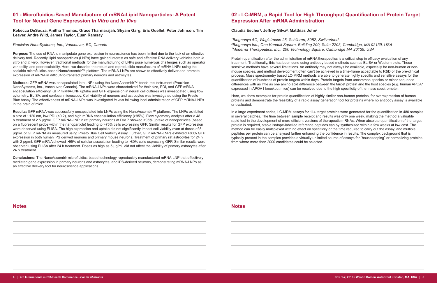# **01 - Microfluidics-Based Manufacture of mRNA-Lipid Nanoparticles: A Potent Tool for Neural Gene Expression** *In Vitro* **and** *In Vivo*

**Rebecca DeSouza, Anitha Thomas, Grace Tharmarajah, Shyam Garg, Eric Ouellet, Peter Johnson, Tim Leaver, Andre Wild, James Taylor, Euan Ramsay**

*Precision NanoSystems, Inc., Vancouver, BC, Canada*

**Purpose:** The use of RNA to manipulate gene expression in neuroscience has been limited due to the lack of an effective delivery tool. Recently, lipid nanoparticles (LNPs) have gained interest as safe and effective RNA delivery vehicles both *in vitro* and *in vivo*. However, traditional methods for the manufacturing of LNPs pose numerous challenges such as operator variability, and poor scalability. Here, we describe the robust and reproducible manufacture of mRNA-LNPs using the scalable microfluidics-based NanoAssemblr™ platform. The mRNA-LNPs are shown to effectively deliver and promote expression of mRNA in difficult-to-transfect primary neurons and astrocytes.

**Methods:** GFP mRNA was encapsulated into LNPs using the NanoAssemblr™ bench-top instrument (Precision NanoSystems, Inc., Vancouver, Canada). The mRNA-LNPs were characterized for their size, PDI, and GFP mRNA encapsulation efficiency. GFP mRNA-LNP uptake and GFP expression in neural cell cultures was investigated using flow cytometry, ELISA, and confocal microscopy. Cell viability of neurons and astrocytes was investigated using the Presto Blue Assay. The effectiveness of mRNA-LNPs was investigated *in vivo* following local administration of GFP mRNA-LNPs in the brain of mice.

Protein quantification after the administration of mRNA therapeutics is a critical step in efficacy evaluation of any treatment. Traditionally, this has been done using antibody-based methods such as ELISA or Western blots. These sensitive methods have several limitations. An antibody may not always be available, especially for non-human or nonmouse species, and method development often can't be achieved in a time-frame acceptable to R&D or the pre-clinical process. Mass spectrometry based LC-MRM methods are able to generate highly specific and sensitive assays for the quantification of hundreds of protein targets within days. Protein targets from uncommon species or minor sequence differences with as little as one amino acid difference between the target protein and the host species (e.g. human APOA1 expressed in APOA1 knockout mice) can be resolved due to the high specificity of the mass spectrometer.

**Results:** GFP mRNA was successfully encapsulated into LNPs using the NanoAssemblr™ platform. The LNPs exhibited a size of ~120 nm, low PDI (<0.2), and high mRNA encapsulation efficiency (>95%). Flow cytometry analysis after a 48 h treatment of 2.5 µg/mL GFP mRNA-LNP in rat primary neurons at DIV 7 showed >95% uptake of nanoparticles (based on a fluorescent probe within the nanoparticle) leading to >75% cells expressing GFP. Similar results for GFP expression were observed using ELISA. The high expression and uptake did not significantly impact cell viability even at doses of 5 µg/mL of GFP mRNA as measured using Presto Blue Cell Viability Assay. Further, GFP mRNA-LNPs exhibited >80% GFP expression in both human iPS derived neurons and primary mouse neurons. Treatment of primary rat astrocytes for 24 h with 2 µg/mL GFP mRNA showed >95% of cellular association leading to >80% cells expressing GFP. Similar results were observed using ELISA after 24 h treatment. Doses as high as 5 µg/mL did not affect the viability of primary astrocytes after 24 h treatment.

**Conclusions:** The NanoAssemblr microfluidics-based technology reproducibly manufactured mRNA-LNP that effectively mediated gene expression in primary neurons and astrocytes, and iPS-derived neurons, demonstrating mRNA-LNPs as an effective delivery tool for neuroscience applications.

# **02 - LC-MRM, a Rapid Tool for High Throughput Quantification of Protein Target Expression After mRNA Administration**

### **Claudia Escher<sup>1</sup> , Jeffrey Silva<sup>2</sup> , Matthias John3**

*1 Biognosys AG, Wagistrasse 25, Schlieren, 8952, Switzerland 2 Biognosys Inc., One Kendall Square, Building 200, Suite 2203, Cambridge, MA 02139, USA 3 Moderna Therapeutics, Inc., 200 Technology Square, Cambridge MA 20139, USA*

Here, we show examples for protein quantification of highly similar non-human proteins, for overexpression of human proteins and demonstrate the feasibility of a rapid assay generation tool for proteins where no antibody assay is available or evaluated.

In a large experiment series, LC-MRM assays for 114 target proteins were generated for the quantification in 480 samples in several batches. The time between sample receipt and results was only one week, making the method a valuable rapid tool in the development of more efficient versions of therapeutic mRNAs. When absolute quantification of the target protein is required, stable isotope-labelled reference peptides can by synthesized within a few weeks at low cost. The method can be easily multiplexed with no effect on specificity or the time required to carry out the assay, and multiple peptides per protein can be analysed further enhancing the confidence in results. The complex background that is typically present in the samples provides a virtually unlimited source of assays for "housekeeping" or normalizing proteins from where more than 2000 candidates could be selected.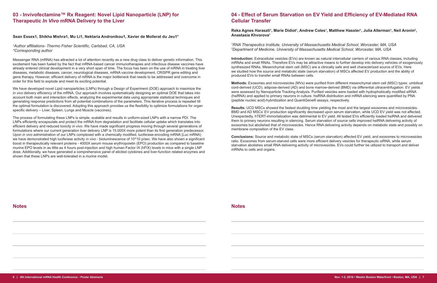# **03 - Invivofectamine™ Rx Reagent: Novel Lipid Nanoparticle (LNP) for Therapeutic** *In Vivo* **mRNA Delivery to the Liver**

#### **Sean Essex1, Shikha Mishra1, Mu Li1, Nektaria Andronikou1, Xavier de Mollerat du Jeu1\***

#### *1 Author affiliations- Thermo Fisher Scientific, Carlsbad, CA, USA \*Corresponding author*

Messenger RNA (mRNA) has attracted a lot of attention recently as a new drug class to deliver genetic information. This excitement has been fueled by the fact that mRNA-based cancer immunotherapies and infectious disease vaccines have already entered clinical development in a very short span of time. The focus has been on the use of mRNA in treating liver diseases, metabolic diseases, cancer, neurological diseases, mRNA vaccine development, CRISPR gene editing and gene therapy. However, efficient delivery of mRNA is the major bottleneck that needs to be addressed and overcome in order for this field to explode and meet its exciting potential.

We have developed novel Lipid nanoparticles (LNPs) through a Design of Experiment (DOE) approach to maximize the *in vivo* delivery efficiency of the mRNA. Our approach involves systematically designing an optimal DOE that takes into account both main and interaction effects, analyzing the experimental data using appropriate statistical techniques and generating response predictions from all potential combinations of the parameters. This iterative process is repeated till the optimal formulation is discovered. Adopting this approach provides us the flexibility to optimize formulations for organ specific delivery – Liver, Spleen, Lungs and Muscle (vaccines).

### $R$ eka Agnes Haraszti<sup>ı</sup>, Marie Didiot<sup>ı</sup>, Andrew Coles<sup>ı</sup>, Matthew Hassler<sup>ı</sup>, Julia Alterman<sup>ı</sup>, Neil Aronin<sup>2</sup>, **Anastasia Khvorova1**

The process of formulating these LNPs is simple, scalable and results in uniform-sized LNPs with a narrow PDI. The LNPs efficiently encapsulate and protect the mRNA from degradation and facilitate cellular uptake which translates into efficient delivery and reduced toxicity *in vivo*. We have made significant progress moving through several generations of formulations where our current generation liver delivery LNP is 15,000X more potent than its first generation predecessor. Upon *in vivo* administration of our LNPs complexed with a chemically modified, luciferase-encoding mRNA (Luc mRNA) we have demonstrated high luciferase activity *in vivo* - bioluminescence of 10^10 p/sec. We have also shown a significant boost in therapeutically relevant proteins - 4000X serum mouse erythropoietin (EPO) production as compared to baseline murine EPO levels in as little as 4 hours post-injection and high human Factor IX (hFIX) levels in mice with a single LNP dose. Additionally, we have generated a comprehensive panel of elicited cytokines and liver-function related enzymes and shown that these LNPs are well-tolerated in a murine model.

# **04 - Effect of Serum Starvation on EV Yield and Efficiency of EV-Mediated RNA Cellular Transfer**

*1 RNA Therapeutics Institute, University of Massachusetts Medical School, Worcester, MA, USA 2 Department of Medicine, University of Massachusetts Medical School, Worcester, MA, USA*

**Introduction:** Extracellular vesicles (EVs) are known as natural intercellular carriers of various RNA classes, including mRNAs and small RNAs. Therefore EVs may be attractive means to further develop into delivery vehicles of exogenously synthesized RNAs. Mesenchymal stem cell (MSC) are a clinically safe and well characterized source of EVs. Here we studied how the source and metabolic state (serum starvation) of MSCs affected EV production and the ability of produced EVs to transfer small RNAs between cells.

**Methods:** Exosomes and microvesicles (MVs) were purified from different mesenchymal stem cell (MSC) types: umbilical cord-derived (UCD), adipose-derived (AD) and bone marrow-derived (BMD) via differential ultracentrifugation. EV yields were assessed by Nanoparticle Tracking Analysis. Purified vesicles were loaded with hydrophobically modified siRNA (hsiRNA) and applied to primary neurons in culture. hsiRNA distribution and mRNA silencing were quantified by PNA (peptide nucleic acid)-hybridization and QuantiGene® assays, respectively.

**Results:** UCD MSCs showed the fastest doubling time yielding the most and the largest exosomes and microvesicles. BMD and AD MSCs' EV production significantly decreased upon serum starvation, while UCD EV yield was not affected. Unexpectedly, hTERT-immortalization was detrimental to EV yield. All tested EVs efficiently loaded hsiRNA and delivered them to primary neurons resulting in silencing. Serum starvation of source cells improved hsiRNA delivering activity of exosomes but abolished that of microvesicles. Hence RNA delivering activity depends on metabolic state and possibly on membrane composition of the EV class.

**Conclusions:** Source and metabolic state of MSCs (serum starvation) affected EV yield, and exosomes to microvesicles ratio. Exosomes from serum-starved cells were more efficient delivery vesicles for therapeutic siRNA, while serum starvation abolishes small RNA delivering activity of microvesicles. EVs could further be utilized to transport and deliver mRNAs to cells and organs.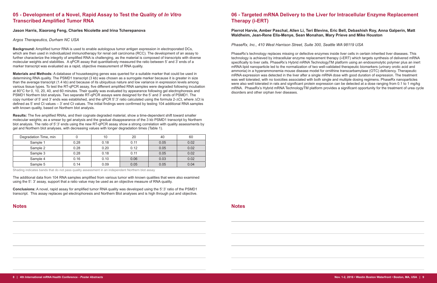# **05 - Development of a Novel, Rapid Assay to Test the Quality of** *In Vitro* **Transcribed Amplified Tumor RNA**

#### **Jason Harris, Xiaorong Feng, Charles Nicolette and Irina Tcherepanova**

*Argos Therapeutics, Durham NC USA* 

**Background:** Amplified tumor RNA is used to enable autologous tumor antigen expression in electroporated DCs, which are then used in individualized immunotherapy for renal cell carcinoma (RCC). The development of an assay to further characterize the integrity of amplified RNA is challenging, as the material is composed of transcripts with diverse molecular weights and stabilities. A qPCR assay that quantitatively measured the ratio between 5' and 3' ends of a marker transcript was evaluated as a rapid, objective measurement of RNA quality.

**Materials and Methods:** A database of housekeeping genes was queried for a suitable marker that could be used in determining RNA quality. The PSMD1 transcript (3 kb) was chosen as a surrogate marker because it is greater in size than the average transcript (1.4 kb) and because of its ubiquitous nature and low variance in expression levels among various tissue types. To test the RT-qPCR assay, five different amplified RNA samples were degraded following incubation at 80°C for 0, 10, 20, 40, and 60 minutes. Their quality was evaluated by appearance following gel electrophoresis and PSMD1 Northern blot analysis. Two separate RT-qPCR assays were designed for the 5' and 3' ends of PSMD1. The copy number of 5' and 3' ends was established, and the qPCR 5':3' ratio calculated using the formula 2-∆Ct, where ∆Ct is defined as 5' end Ct values – 3' end Ct values. The initial findings were confirmed by testing 104 additional RNA samples with known quality, based on Northern blot analysis.

**Results:** The five amplified RNAs, and their cognate degraded material, show a time-dependent shift toward smaller molecular weights; as a smear by gel analysis and the gradual disappearance of the 3 kb PSMD1 transcript by Northern blot analysis. The ratio of 5':3' ends using the new RT-qPCR assay show a strong correlation with quality assessments by gel and Northern blot analyses, with decreasing values with longer degradation times (Table 1).

| Degradation Time, min |      | 10   | 20   | 40   | 60   |
|-----------------------|------|------|------|------|------|
| Sample 1              | 0.28 | 0.18 | 0.11 | 0.05 | 0.02 |
| Sample 2              | 0.28 | 0.20 | 0.12 | 0.05 | 0.02 |
| Sample 3              | 0.28 | 0.18 | 0.11 | 0.05 | 0.02 |
| Sample 4              | 0.16 | 0.10 | 0.06 | 0.03 | 0.02 |
| Sample 5              | 0.14 | 0.09 | 0.05 | 0.05 | 0.04 |

Shading indicates bands that do not pass quality assessment in an independent Northern blot assay

The additional data from 104 RNA samples amplified from various tumor with known qualities that were also examined using the 5': 3' assay, support that a ratio value may be used as an objective measure of RNA quality.

**Conclusions:** A novel, rapid assay for amplified tumor RNA quality was developed using the 5':3' ratio of the PSMD1 transcript. This assay replaces gel electrophoresis and Northern Blot analyses and is high through put and objective.

# **06 - Targeted mRNA Delivery to the Liver for Intracellular Enzyme Replacement Therapy (i-ERT)**

### **Pierrot Harvie, Amber Paschal, Allen Li, Teri Blevins, Eric Bell, Debashish Roy, Anna Galperin, Matt Waldheim, Jean-Rene Ella-Menye, Sean Monahan, Mary Prieve and Mike Houston**

*PhaseRx, Inc., 410 West Harrison Street, Suite 300, Seattle WA 98119 USA*

PhaseRx's technology replaces missing or defective enzymes inside liver cells in certain inherited liver diseases. This technology is achieved by intracellular enzyme replacement therapy (i-ERT) which targets synthesis of delivered mRNA specifically to liver cells. PhaseRx's Hybrid mRNA TechnologyTM platform using an endosomolytic polymer plus an inert mRNA lipid nanoparticle led to the normalization of two well-validated therapeutic biomarkers (urinary orotic acid and ammonia) in a hyperammonemia mouse disease model for ornithine transcarbamylase (OTC) deficiency. Therapeutic mRNA expression was detected in the liver after a single mRNA dose with good duration of expression. The treatment was well tolerated, with no toxicities associated with both single and multiple dosing regimens. PhaseRx nanoparticles were also well tolerated in rats and significant protein expression can be detected at a dose ranging from 0.1 to 1 mg/kg mRNA. PhaseRx's Hybrid mRNA TechnologyTM platform provides a significant opportunity for the treatment of urea cycle disorders and other orphan liver diseases.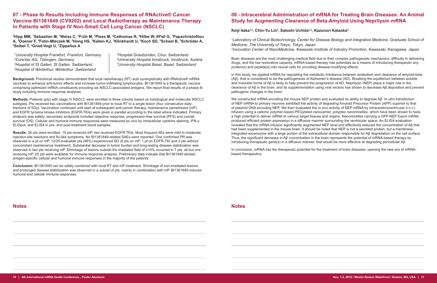# **07 - Phase Ib Results Including Immune Responses of RNActive® Cancer Vaccine BI1361849 (CV9202) and Local Radiotherapy as Maintenance Therapy in Patients with Stage IV Non-Small Cell Lung Cancer (NSCLC)**

**2 Hipp MM, <sup>1</sup> Sebastian M, 1 Weiss C, 3 Früh M, <sup>4</sup> Pless M, 5 Cathomas R, 6 Hilbe W, 6Pall G, 7 Papachristofilou A, 2 Doener F, <sup>2</sup> Fotin-Mleczek M, <sup>2</sup> Hong HS, 2 Kallen KJ, 2 Klinkhardt U, <sup>2</sup> Koch SD, 2 Scheel B, 2 Schröder A, 2 Seibel T, 2 Gnad-Vogt U, <sup>7</sup> Zippelius A** 

 *University Hospital Frankfurt, Frankfurt, Germany <sup>5</sup> CureVac AG, Tübingen, Germany <sup>6</sup> Hospital of St Gallen, St Gallen, Switzerland 7 Hospital of Winterthur, Winterthur, Switzerland*

*Hospital Graubünden, Chur, Switzerland University Hospital Innsbruck, Innsbruck, Austria University Hospital Basel, Basel, Switzerland*

**Background:** Preclinical studies demonstrated that local radiotherapy (RT) acts synergistically with RNActive® mRNA vaccines to enhance anti-tumor effects and increase tumor-infiltrating lymphocytes. BI1361849 is a therapeutic vaccine comprising optimized mRNA constituents encoding six NSCLC-associated antigens. We report final results of a phase Ib study including immune response analyses.

**Methods:** Patients (pts) with stage IV NSCLC were enrolled in three cohorts based on histological and molecular NSCLC subtypes. Pts received two vaccinations with BI1361849 prior to local RT to a single lesion (four consecutive daily fractions of 5Gy). Vaccination continued until start of subsequent anti-cancer therapy, maintenance pemetrexed (mP) and EGFR tyrosine kinase inhibitors (EGFR-TKIs) were given in parallel according to the label where indicated. Primary endpoint was safety; secondary endpoints included objective response, progression-free survival (PFS) and overall survival (OS). Cellular and humoral immune responses were measured ex vivo by intracellular cytokine staining, IFN-γ ELISpot, and ELISA in pre- and post-treatment blood samples.

**Results:** 26 pts were enrolled. 15 pts received mP, two received EGFR TKIs. Most frequent AEs were mild to moderate injection-site reactions and flu-like symptoms. No BI1361849-related SAEs were reported. One confirmed PR was observed in a pt on mP, 12/25 evaluable pts (46%) experienced SD (8 pts on mP, 1 pt on EGFR-TKI and 3 pts without concomitant maintenance treatment). Substantial decrease in tumor burden and long-lasting disease stabilization was observed in two pts receiving mP. Shrinkage of lesions outside the irradiated field of ≥15% occurred in 7 pts, all but one receiving mP. 25 pts were available for immune response analysis. Preliminary data indicate that BI1361849 elicited antigen-specific cellular and humoral immune responses in the majority of the patients

In conclusion, mRNA has the therapeutic potential for the treatment of brain diseases, opening the new era of mRNAbased therapeutics.

**Conclusion:** BI1361849 can be safely combined with local RT and mP treatment. Shrinkage of non-irradiated lesions and prolonged disease stabilization was observed in a subset of pts, mainly in combination with mP. BI1361849 induces humoral and cellular immune responses.

# **08 - Intracerebral Administration of mRNA for Treating Brain Diseases: An Animal Study for Augmenting Clearance of Beta-Amyloid Using Neprilysin mRNA**

**Keiji Itaka1,2, Chin-Yu Lin<sup>2</sup> , Satoshi Uchida1,2, Kazunori Kataoka<sup>2</sup>**

*1 Laboratory of Clinical Biotechnology, Center for Disease Biology and Integrative Medicine, Graduate School of Medicine, The University of Tokyo, Tokyo, Japan 2 Innovation Center of NanoMedicine, Kawasaki Institute of Industry Promotion, Kawasaki, Kanagawa, Japan* 

Brain diseases are the most challenging medical field due to their complex pathogenetic mechanism, difficulty in delivering drugs, and the low restorative capacity. mRNA-based therapy has potentials as a means of introducing therapeutic any protein(s) and peptide(s) into neural cells for providing disease-modifying effects.

In this study, we applied mRNA for regulating the metabolic imbalance between anabolism and clearance of amyloid-beta (Aβ), that is considered to be the pathogenesis of Alzheimer's disease (AD). Breaking the equilibrium between soluble and insoluble forms of Aβ is likely to help prevent the progression of AD. Neprilysin (NEP) plays a major role in the clearance of Aβ in the brain, and its supplementation using viral vectors has shown to decrease Aβ deposition and prevent pathogenic changes in the brain.

We constructed mRNA encoding the mouse NEP protein and evaluated its ability to degrade Aβ. *In vitro* transfection of NEP mRNA to primary neurons exhibited the activity of degrading Amyloid Precursor Protein (APP) superior to that of plasmid DNA encoding NEP. We then evaluated the *in vivo* activity of NEP mRNA by intracerebroventricular (i.c.v.) infusion using a cationic polymer-based PEGylated nanocarrier, polyplex nanomicelles, which have been shown to have a high potential to deliver mRNA to various target tissues and organs. Nanomicelles carrying a GFP-NEP fusion mRNA produced efficient protein expression in a diffusive manner surrounding the ventricular space. An ELISA evaluation revealed that the mRNA infusion significantly augmented NEP level and effectively reduced the concentration of Aβ that had been supplemented in the mouse brain. It should be noted that NEP is not a secreted protein, but a membraneintegrated exoenzyme with a large portion of the extracellular domain responsible for Aβ degradation on the cell surface. Thus, the significant decrease in Aβ concentration in the brain represents the potential of mRNA-based therapy by introducing therapeutic gene(s) in a diffusive manner, that would be more effective at degrading pericellular Aβ.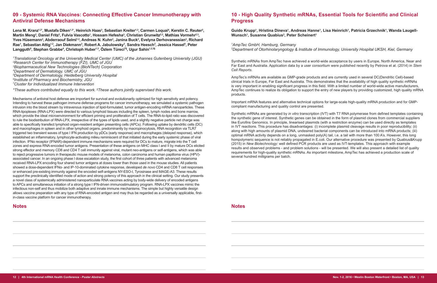# **09 - Systemic RNA Vaccines: Connecting Effective Cancer Immunotherapy with Antiviral Defense Mechanisms**

Lena M. Kranz1,2\*, Mustafa Diken<sup>1,3\*</sup>, Heinrich Haas<sup>3</sup>, Sebastian Kreiter<sup>1,3</sup>, Carmen Loquai<sup>4</sup>, Kerstin C. Reuter<sup>3</sup>, **Martin Meng3 , Daniel Fritz<sup>3</sup> , Fulvia Vascotto<sup>1</sup> , Hossam Hefesha3 , Christian Grunwitz2,3, Mathias Vormehr2,3, Yves Hüsemann<sup>3</sup> , Abderraouf Selmi1,2, Andreas N. Kuhn<sup>3</sup> , Janina Buck<sup>3</sup> , Evelyna Derhovanessian<sup>3</sup> , Richard**   $\bm{\mathsf{Rae}}$ ', Sebastian Attig<sup>1,2</sup>, Jan Diekmann<sup>3</sup>, Robert A. Jabulowsky<sup>3</sup>, Sandra Heesch<sup>3</sup>, Jessica Hassel<sup>5</sup>, Peter **Langguth<sup>6</sup> , Stephan Grabbe<sup>4</sup> , Christoph Huber1,3, Özlem Türeci7§, Ugur Sahin1,2,3§**

 *Translational Oncology at the University Medical Center (UMC) of the Johannes Gutenberg University (JGU) Research Center for Immunotherapy (FZI), UMC of JGU Biopharmaceutical New Technologies (BioNTech) Corporation Department of Dermatology, UMC of JGU Department of Dermatology, Heidelberg University Hospital Institute of Pharmacy and Biochemistry, JGU Cluster for Individualized Immune Intervention*

*\*These authors contributed equally to this work. § These authors jointly supervised this work.*

Mechanisms of antiviral host defense are important for survival and evolutionarily optimized for high sensitivity and potency. Intending to harvest these pathogen immune defense programs for cancer immunotherapy, we simulated a systemic pathogen intrusion into the blood stream by intravenous injection of lipid-formulated, tumor antigen-encoding mRNA nanoparticles. These RNA-lipoplexes (RNA-LPX) were directed to various lymphoid tissues including the spleen, lymph nodes and bone marrow, which provide the ideal microenvironment for efficient priming and proliferation of T cells. The RNA-to-lipid ratio was discovered to rule the biodistribution of RNA-LPX, irrespective of the types of lipids used, and a slightly negative particle net charge was able to specifically transfect lymphoid organ-resident antigen presenting cells (APCs). Following uptake by dendritic cells (DC) and macrophages in spleen and in other lymphoid organs, predominantly by macropinocytosis, RNA recognition via TLR7 triggered two transient waves of type I IFN production by pDCs (early response) and macrophages (delayed response), which established an inflammatory, lymphocyte-activating milieu reminiscent of that initiated during the early systemic phase of viral infection. IFNα receptor (IFNAR)-dependent immune mechanisms were required for DCs to mature, migrate into the T cell zones and express RNA-encoded tumor antigens. Presentation of these antigens on MHC class I and II by mature DCs elicited strong effector and memory CD8 and CD4 T cell immunity against viral, mutant neo-antigens or self-antigens, which was able to reject progressive tumors in therapeutic mouse models of melanoma, colon carcinoma and human papilloma virus (HPV) associated cancer. In an ongoing phase I dose escalation study, the first cohort of three patients with advanced melanoma received RNA-LPX encoding four shared tumor antigens at doses lower than those used in the mouse studies. All patients showed a dose-dependent IFNα- and IP-10-dominated cytokine response, developed *de novo* CD4 and CD8 T cell responses or enhanced pre-existing immunity against the encoded self-antigens NY-ESO-I, Tyrosinase and MAGE-A3. These results support the preclinically identified mode of action and strong potency of this approach in the clinical setting. Our study presents a novel class of systemically administered nanoparticulate RNA vaccines acting by body-wide delivery of encoded antigens to APCs and simultaneous initiation of a strong type I IFN-driven immunostimulatory program. RNA-LPX vaccines mimic the infectious non-self and thus mobilize both adaptive and innate immune mechanisms. The simple but highly versatile design allows vaccine preparation with any type of RNA-encoded antigen and may thus be regarded as a universally applicable, firstin-class vaccine platform for cancer immunotherapy.

# **10 - High Quality Synthetic mRNAs, Essential Tools for Scientific and Clinical Progress**

## **Guido Krupp<sup>1</sup> , Hristina Dineva1 , Andreas Hanne<sup>1</sup> , Lisa Heinrich<sup>1</sup> , Patricia Grzechnik<sup>1</sup> , Wanda Laugell-**

**Wunsch<sup>1</sup> , Susanne Quabius<sup>2</sup> , Peter Scheinert1**

*1 AmpTec GmbH, Hamburg, Germany 2 Department of Otorhinolaryngology & Institute of Immunology, University Hospital UKSH, Kiel, Germany*

Synthetic mRNAs from AmpTec have achieved a world-wide acceptance by users in Europe, North America, Near and Far East and Australia. Application data by a user consortium were published recently by Petrova et al. (2014) in *Stem Cell Reports*.

AmpTec's mRNAs are available as GMP-grade products and are currently used in several DC(Dendritic Cell)-based clinical trials in Europe, Far East and Australia. This demonstrates that the availability of high quality synthetic mRNAs is very important in enabling significant progress in this field. With a limited number of world-wide active manufacturers, AmpTec continues to realize its obligation to support the entry of new players by providing customized, high quality mRNA products.

Important mRNA features and alternative technical options for large-scale high-quality mRNA production and for GMPcompliant manufacturing and quality control are presented.

Synthetic mRNAs are generated by *in vitro* transcription (IVT) with T7 RNA polymerase from defined templates containing the synthetic gene of interest. Synthetic genes can be obtained in the form of plasmid clones from commercial suppliers like Eurofins Genomics. In principle, linearised plasmids (with a restriction enzyme) can be used directly as templates in IVT reactions. This procedure has disadvantages: (i) incomplete plasmid cleavage results in poor reproducibility; (ii) along with high amounts of plasmid DNA, undesired bacterial components can be introduced into mRNA products; (iii) optimal mRNA activity depends on a long, unmasked poly(A) tail, i.e. a tail with more than 100 A's. However, this long hompolymeric sequence is not reliably propagated in E.coli. Our alternative procedure was presented by Quabius&Krupp (2015) in *New Biotechnology*: well defined PCR products are used as IVT-templates. This approach with example results and observed problems - and problem solutions - will be presented. We will also present a detailed list of quality requirements for high-quality synthetic mRNAs. As important milestone, AmpTec has achieved a production scale of several hundred milligrams per batch.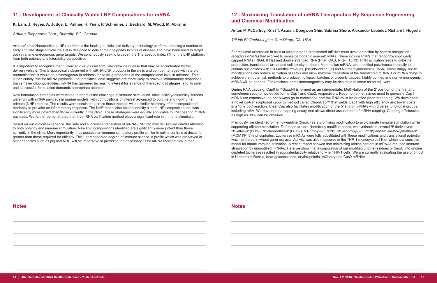# **11 - Development of Clinically Viable LNP Compositions for mRNA**

#### **K. Lam, J. Heyes, A. Judge, L. Palmer, H. Yuen, P. Schreiner, J. Bechard, M. Wood, M. Abrams**

*Arbutus Biopharma Corp., Burnaby, BC, Canada* 

Arbutus' Lipid Nanoparticle (LNP) platform is the leading nucleic acid delivery technology platform, enabling a number of early and late stage clinical trials. It is designed to deliver their payloads to sites of disease and have been used to target both viral and endogenous gene targets. We continuously seek to broaden the Therapeutic Index (TI) of the LNP platform, from both potency and tolerability perspectives.

Based on our clinical experience, the safe and successful translation of mRNA-LNP into man will require careful attention to both potency and immune stimulation. New lipid compositions identified are significantly more potent than those currently in the clinic. More importantly, they possess an immune stimulatory profile similar to saline controls at doses far greater than those required for efficacy. This unprecedented degree of immune silence, a profile which was preserved in higher species such as pig and NHP, will be imperative in providing the necessary TI for mRNA therapeutics in man.

It is important to recognize that nucleic acid drugs can stimulate cytokine release that may be accentuated by the delivery vehicle. This is sporadically observed with siRNA-LNP products in the clinic and can be managed with steroid premedication. It would be advantageous to address these drug properties at the compositional level in advance. This is particularly true for mRNA payloads, that preclinical data suggests are more likely to provoke inflammatory responses than smaller oligonucleotides. mRNA has garnered increasing interest for a range of therapeutic strategies, and its safe and successful formulation demands appropriate attention.

New formulation strategies were tested to address the challenge of immune stimulation. Initial activity/tolerability screens were run with siRNA payloads in murine models, with compositions of interest advanced to porcine and non-human primate (NHP) models. The results were consistent across these models, with a similar hierarchy of the compositions' tendency to provoke an inflammatory response. The NHP model also helped identify a lead LNP composition that was significantly more potent than those currently in the clinic. These strategies were equally applicable to LNP bearing mRNA payloads. We further demonstrated that the mRNA purification method plays a significant role in immune stimulation.

# **12 - Maximizing Translation of mRNA Therapeutics By Sequence Engineering and Chemical Modification**

#### **Anton P. McCaffrey, Krist T. Azizian, Dongwon Shin, Sabrina Shore, Alexander Lebedev, Richard I. Hogrefe**

*TriLink BioTechnologies, San Diego, CA, USA*

For maximal expression in cells or target organs, transfected mRNAs must avoid detection by pattern recognition receptors (PRRs) that evolved to sense pathogenic non-self RNAs. These include PRRs that recognize improperly capped RNAs (RIG-I, IFITs) and double stranded RNA (PKR, OAS, RIG-I, TLR3). PRR activation leads to cytokine production, translational arrest and cell toxicity or death. Mammalian mRNAs are modified post-transcriptionally to contain nucleotides with 2'-O-methyl residues, pseudouridine (Ψ) and N6-methyladenosine (m6A). Interestingly, these modifications can reduce activation of PRRs and allow maximal translation of the transfected mRNA. For mRNA drugs to achieve their potential, methods to produce multigram batches of properly capped, highly purified and non-immunogenic mRNA will be needed. For vaccines, some immunogenicity may be desirable to serve as an adjuvant.

During RNA capping, Cap0 (m7GpppN) is formed as an intermediate. Methylation of the 2' position of the first and sometimes second nucleotide forms Cap1 and Cap2, respectively. Recombinant enzymes used to generate Cap1 mRNA are expensive, do not always go to completion and the RNA must be purified prior to capping. We developed a novel co-transcriptional capping method called CleanCap™ that yields Cap1 with high efficiency and lower costs in a "one pot" reaction. CleanCap also facilitates modification of the 5' end of mRNAs with diverse functional groups, including m6A. We developed a capping assay that allows direct assessment of mRNA capping. Capping efficiencies as high as 99% can be obtained.

Previously, we identified 5-methoxyuridine (5moU) as a promising modification to avoid innate immune stimulation while supporting efficient translation. To further explore chemically modified bases, we synthesized several Ψ derivatives: N1-ethyl-Ψ (Et1Ψ), N1-fluoroethyl-Ψ (FE1Ψ), N1-propyl-Ψ (Pr1Ψ), N1-isopropyl-Ψ (iPr1Ψ) and N1-methoxylmethyl-Ψ (MOM1Ψ) 5'-triphosphates. Luciferase mRNAs were fully substituted with these modifications and translational potential was monitored in wheat germ extracts. Activity was also measured in the THP-1 monocyte cell line, which is a sensitive model for innate immune activation. A recent report showed that minimizing uridine content in mRNAs reduced immune stimulation by unmodified mRNAs. Here we show that incorporation of our modified uridine residues or 5moU into uridine depleted luciferase resulted in equivalentactivity relative to Ψ in THP-1 cells. We are currently evaluating the use of 5moU in U depleted Renilla, beta-galactosidase, erythropoietin, mCherry and Cas9 mRNAs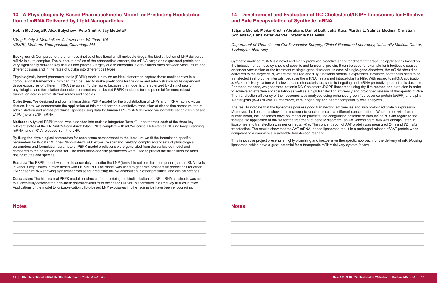# **13 - A Physiologically-Based Pharmacokinetic Model for Predicting Biodistribution of mRNA Delivered by Lipid Nanoparticles**

**Robin McDougall<sup>1</sup> , Alex Bulychev<sup>2</sup> , Pete Smith2 , Jay Mettetal<sup>1</sup>**

*1 Drug Safety & Metabolism, Astrazeneca, Waltham MA 2 DMPK, Moderna Therapeutics, Cambridge MA*

**Background:** Compared to the pharmacokinetics of traditional small molecule drugs, the biodistribution of LNP delivered mRNA is quite complex. The exposure profiles of the nanoparticle carriers, the mRNA cargo and expressed protein can vary significantly between key tissues and plasma - largely due to differential extravasation rates between vasculature and different tissues and in the rates of uptake into different cell types.

Physiologically based pharmacokinetic (PBPK) models provide an ideal platform to capture these nonlinearities in a computational framework which can then be used to make predictions for the dose and administration route dependent tissue exposures of different mRNA therapies. Furthermore, because the model is characterized by distinct sets of physiological and formulation dependent parameters, calibrated PBPK models offer the potential for more robust translation across administration routes and species.

**Objectives:** We designed and built a hierarchical PBPK model for the biodistribution of LNPs and mRNA into individual tissues. Here, we demonstrate the application of this model for the quantitative translation of disposition across routes of administration and across preclinical species using data for human EPO mRNA delivered via ionizable cationic lipid-based LNPs (herein LNP-mRNA).

**Methods:** A typical PBPK model was extended into multiple integrated "levels" – one to track each of the three key relevant states of the LNP-mRNA construct: Intact LNPs complete with mRNA cargo, Detectable LNPs no longer carrying mRNA, and mRNA released from the LNP.

By fixing the physiological parameters for each tissue compartment to the literature we fit the formulation specific parameters for IV data "Murine-LNP-mRNA-hEPO" exposure scenario, yielding complimentary sets of physiological parameters and formulation parameters. PBPK model predictions were generated from the calibrated model and compared to the observed data set. The formulation-specific parameters were used to predict the disposition for other dosing routes and species.

**Results:** The PBPK model was able to accurately describe the LNP (ionizable cationic lipid component) and mRNA levels in various key tissues in mice dosed with LNP-hEPO. The model was used to generate prospective predictions for other LNP dosed mRNA showing significant promise for predicting mRNA distribution in other preclinical and clinical settings.

**Conclusion:** The hierarchical PBPK model constructed for describing the biodistribution of LNP-mRNA constructs was able to successfully describe the non-linear pharmacokinetics of the dosed LNP-hEPO construct in all the key tissues in mice. Applications of the model to ionizable cationic lipid-based LNP exposures in other scenarios have been encouraging.

# **14 - Development and Evaluation of DC-Cholesterol/DOPE Liposomes for Effective and Safe Encapsulation of Synthetic mRNA**

# **Tatjana Michel, Meike-Kristin Abraham, Daniel Luft, Julia Kurz, Martha L. Salinas Medina, Christian**

**Schlensak, Hans Peter Wendel, Stefanie Krajewski**

*Department of Thoracic and Cardiovascular Surgery, Clinical Research Laboratory, University Medical Center, Tuebingen, Germany*

Synthetic modified mRNA is a novel and highly promising bioactive agent for different therapeutic applications based on the induction of de novo synthesis of specific and functional protein. It can be used for example for infectious diseases or cancer vaccination or the treatment of single-gene disorders. In case of single-gene disorders, the mRNA should be delivered to the target cells, where the desired and fully functional protein is expressed. However, so far cells need to be transfected in short time intervals, because the mRNA has a short intracellular half-life. With regard to mRNA application *in vivo*, a delivery system with slow release characteristics, specific targeting and mRNA protective properties is desirable. For these reasons, we generated cationic DC-Cholesterol/DOPE liposomes using dry-film-method and extrusion in order to achieve an effective encapsulation as well as a high transfection efficiency and prolonged release of therapeutic mRNA. The transfection efficiency of the liposomes was analyzed using enhanced green fluorescence protein (eGFP) and alpha-1-antitrypsin (AAT) mRNA. Furthermore, immunogenicity and haemocompatibility was analyzed.

The results indicate that the liposomes possess good transfection efficiencies and also prolonged protein expression. Moreover, the liposomes show no immunogenic reaction in cells at different concentrations. When tested with fresh human blood, the liposomes have no impact on platelets, the coagulation cascade or immune cells. With regard to the therapeutic application of mRNA for the treatment of genetic disorders, an AAT-encoding mRNA was encapsulated in liposomes and transfection was performed *in vitro*. The concentration of AAT protein was measured 24 h and 72 h after transfection. The results show that the AAT mRNA-loaded liposomes result in a prolonged release of AAT protein when compared to a commercially available transfection reagent.

This innovative project presents a highly promising and inexpensive therapeutic approach for the delivery of mRNA using liposomes, which have a great potential for a therapeutic mRNA delivery system *in vivo*.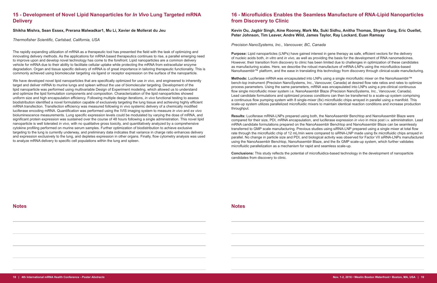# **15 - Development of Novel Lipid Nanoparticles for** *In Vivo* **Lung Targeted mRNA Delivery**

#### **Shikha Mishra, Sean Essex, Prerana Malwadkar1, Mu Li, Xavier de Mollerat du Jeu**

*Thermofisher Scientific, Carlsbad, California, USA*

The rapidly expanding utilization of mRNA as a therapeutic tool has presented the field with the task of optimizing and innovating delivery methods. As the applications for mRNA based therapeutics continues to rise, a parallel emerging need to improve upon and develop novel technology has come to the forefront. Lipid nanoparticles are a common delivery vehicle for mRNA due to their ability to facilitate cellular uptake while protecting the mRNA from extracellular enzyme degradation. Organ and tissue specific delivery of mRNA is of great importance in tailoring therapeutic functionality. This is commonly achieved using biomolecular targeting via ligand or receptor expression on the surface of the nanoparticle.

**Purpose:** Lipid nanoparticles (LNPs) have gained interest in gene therapy as safe, efficient vectors for the delivery of nucleic acids both, *in vitro* and *in vivo*, as well as providing the basis for the development of RNA nanomedicines. However, their transition from discovery to clinic has been limited due to challenges in optimization of these candidates as manufacturing scales. Here, we describe the robust manufacture of mRNA-LNPs using the microfluidics-based NanoAssemblr™ platform, and the ease in translating this technology from discovery through clinical-scale manufacturing.

We have developed novel lipid nanoparticles that are specifically optimized for use *in vivo*, and engineered to inherently target and deliver mRNA to murine lungs and spleen without the use of biomolecular targeting. Development of the lipid nanoparticle was performed using multivariable Design of Experiment modeling, which allowed us to understand and optimize the lipid formulation components and composition. Characterization of the lipid nanoparticles showed uniform size and high encapsulation efficiency. Following multiple design iterations, *in vivo* functional testing to assess biodistribution identified a novel formulation capable of exclusively targeting the lung tissue and achieving highly efficient mRNA transfection. Transfection efficiency was measured following in vivo systemic delivery of a chemically modified luciferase encoding mRNA. Quantification was performed using the IVIS imaging system to measure *in vivo* and *ex vivo* bioluminescence measurements. Lung specific expression levels could be modulated by varying the dose of mRNA, and significant protein expression was sustained over the course of 48 hours following a single administration. This novel lipid nanoparticle is well tolerated *in vivo*, with no qualitative gross toxicity, and quantitatively analyzed by a comprehensive cytokine profiling performed on murine serum samples. Further optimization of biodistribution to achieve exclusive targeting to the lung is currently underway, and preliminary data indicates that variance in charge ratio enhances delivery and expression exclusively to the lung, and depletes expression in other organs. Finally, flow cytometry analysis was used to analyze mRNA delivery to specific cell populations within the lung and spleen.

# **16 - Microfluidics Enables the Seamless Manufacture of RNA-Lipid Nanoparticles from Discovery to Clinic**

### **Kevin Ou, Jagbir Singh, Aine Rooney, Mark Ma, Suki Sidhu, Anitha Thomas, Shyam Garg, Eric Ouellet, Peter Johnson, Tim Leaver, Andre Wild, James Taylor, Ray Lockard, Euan Ramsay**

*Precision NanoSystems, Inc., Vancouver, BC, Canada*

**Methods:** Luciferase mRNA was encapsulated into LNPs using a single microfluidic mixer on the NanoAssemblr™ bench-top instrument (Precision NanoSystems, Inc., Vancouver, Canada) at desired flow rate ratios and rates to optimize process parameters. Using the same parameters, mRNA was encapsulated into LNPs using a pre-clinical continuous flow single microfluidic mixer system i.e. NanoAssemblr Blaze (Precision NanoSystems, Inc., Vancouver, Canada). Lead candidate formulations and optimized process conditions can then be transferred to a scale-up system comprising a continuous flow pumping system with 8 single-mixer (8x) microfluidic chips arrayed in parallel using a manifold. This scale-up system utilizes parallelized microfluidic mixers to maintain identical reaction conditions and increase production throughput.

**Results:** Luciferase mRNA-LNPs prepared using both, the NanoAssemblr Benchtop and NanoAssemblr Blaze were compared for their size, PDI, mRNA encapsulation, and luciferase expression *in vivo* in mice post i.v. administration. Lead mRNA candidate formulations prepared on the NanoAssemblr Benchtop and NanoAssemblr Blaze can be seamlessly transferred to GMP scale manufacturing. Previous studies using siRNA-LNP prepared using a single mixer at total flow rate through the microfluidic chip of 12 mL/min were compared to siRNA-LNP made using 8x microfluidic chips arrayed in parallel. No change in particle size and PDI, and biological activity was observed for Factor VII siRNA-LNPs manufactured using the NanoAssemblr Benchtop, NanoAssemblr Blaze, and the 8x GMP scale-up system, which further validates microfluidic parallelization as a mechanism for rapid and seamless scale-up.

**Conclusions:** This study reflects the potential of microfluidics-based technology in the development of nanoparticle candidates from discovery to clinic.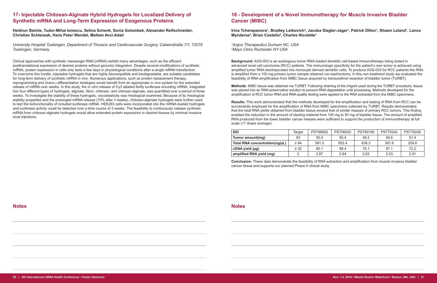# **17- Injectable Chitosan-Alginate Hybrid Hydrogels for Localized Delivery of Synthetic mRNA and Long-Term Expression of Exogenous Proteins**

**Heidrun Steinle, Tudor-Mihai Ionescu, Selina Schenk, Sonia Golombek, Alexander Reifschneider, Christian Schlensak, Hans Peter Wendel, Meltem Avci-Adali**

*University Hospital Tuebingen, Department of Thoracic and Cardiovascular Surgery, Calwerstraße 7/1, 72076 Tuebingen, Germany* 

Clinical approaches with synthetic messenger RNA (mRNA) exhibit many advantages, such as the efficient posttranslational expression of desired proteins without genomic integration. Despite several modifications of synthetic mRNA, protein expression in cells only lasts a few days in physiological conditions after a single mRNA transfection. To overcome this hurdle, injectable hydrogels that are highly biocompatible and biodegradable, are suitable candidates for long-term delivery of synthetic mRNA *in vivo*. Numerous applications, such as protein replacement therapy, reprogramming and (trans-) differentiation strategies would benefit from an appropriate *in vivo* system for the extended release of mRNA over weeks. In this study, the *in vitro* release of Cy3 labeled firefly luciferase encoding mRNA, integrated into four different types of hydrogels, alginate, fibrin, chitosan, and chitosan-alginate, was quantified over a period of three weeks. To investigate the stability of these hydrogels, viscoelasticity was rheological examined. Because of its rheological stability properties and the prolonged mRNA release (70% after 3 weeks), chitosan-alginate hydrogels were further used to test the biofunctionality of included luciferase mRNA. HEK293 cells were incorporated into the mRNA-loaded hydrogels and luciferase activity could be detected over a time course of 3 weeks. The feasibility to continuously release synthetic mRNA from chitosan-alginate hydrogels would allow extended protein expression in desired tissues by minimal invasive local injections.

# **18 - Development of a Novel Immunotherapy for Muscle Invasive Bladder Cancer (MIBC)**

**Mynderse<sup>2</sup> , Brian Costello2 , Charles Nicolette1**

*1 Argos Therapeutics Durham NC, USA 2 Mayo Clinic Rochester NY USA*

**Background:** AGS-003 is an autologous tumor RNA-loaded dendritic cell-based immunotherapy being tested in advanced renal cell carcinoma (RCC) patients. The immunologic specificity for the patient's own tumor is achieved using amplified tumor RNA electroporated into monocyte derived dendritic cells. To produce AGS-003 for RCC patients the RNA is amplified from a 100 mg primary tumor sample obtained via nephrectomy. In this non treatment study we evaluated the feasibility of RNA amplification from MIBC tissue acquired by transurethral resection of bladder tumor (TURBT).

**Methods:** MIBC tissue was obtained via TURBT. Following draining of the irrigant used during the TURBT procedure, tissue was placed into an RNA preservative solution to prevent RNA degradation until processing. Methods developed for the amplification of RCC tumor RNA and RNA quality testing were applied to the RNA extracted from the MIBC specimens.

**Results:** This work demonstrated that the methods developed for the amplification and testing of RNA from RCC can be successfully employed for the amplification of RNA from MIBC specimens collected by TURBT. Results demonstrated that the total RNA yields obtained from bladder tissue exceed that of similar masses of primary RCC tumors. This finding enabled the reduction in the amount of starting material from 100 mg to 50 mg of bladder tissue. The amount of amplified RNA produced from the lower bladder cancer masses were sufficient to support the production of immunotherapy at full scale (17 doses average).

| <b>SID</b>                     | Target    | PST86992 | PST06052 | PST69180 | <b>PST70242</b> | <b>PST76245</b> |
|--------------------------------|-----------|----------|----------|----------|-----------------|-----------------|
| Tumor amount(mg)               | 50        | 50.4     | 50.4     | 49.2     | 49.6            | 51.4            |
| Total RNA concentration(ng/µL) | $\geq 84$ | 591.5    | 852.4    | 636.3    | 381.8           | 209.8           |
| cDNA yield (µg)                | $\geq$ 32 | 80.1     | 88.4     | 75.1     | 97.1            | 72.2            |
| amplified RNA yield (mg)       |           | 2.87     | 2.84     | 2.63     | 3.03            | 2.91            |

**Conclusion:** These data demonstrate the feasibility of RNA extraction and amplification from muscle invasive bladder cancer tissue and supports our planned Phase II clinical study.

**Notes Notes**

## Irina Tcherepanova<sup>ı</sup>, Bradley Leibovich<sup>2</sup>, Jacoba Slagter-Jager<sup>ı</sup>, Patrick Dillon<sup>ı</sup>, Shawn Leland<sup>ı</sup>, Lance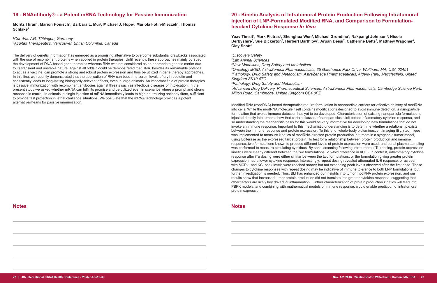## **19 - RNAntibody® - a Potent mRNA Technology for Passive Immunization**

**Moritz Thran<sup>1</sup> , Marion Pönisch1 , Barbara L. Mui<sup>2</sup> , Michael J. Hope<sup>2</sup> , Mariola Fotin-Mleczek<sup>1</sup> , Thomas Schlake<sup>1</sup>**

*1 CureVac AG, Tübingen, Germany 2 Acuitas Therapeutics, Vancouver, British Columbia, Canada*

The delivery of genetic information has emerged as a promising alternative to overcome substantial drawbacks associated with the use of recombinant proteins when applied in protein therapies. Until recently, these approaches mainly pursued the development of DNA-based gene therapies whereas RNA was not considered as an appropriate genetic carrier due to its transient and unstable nature. Against all odds it could be demonstrated that RNA, besides its remarkable potential to act as a vaccine, can promote a strong and robust protein expression and thus be utilized in gene therapy approaches. In this line, we recently demonstrated that the application of RNA can boost the serum levels of erythropoietin and consistently leads to long-lasting biologically-relevant effects, even in large animals. An important field of protein therapies is passive immunization with recombinant antibodies against threats such as infectious diseases or intoxication. In the present study we asked whether mRNA can fulfil its promise and be utilized even in scenarios where a prompt and strong response is crucial. In animals, a single injection of mRNA immediately leads to high neutralizing antibody titers, sufficient to provide fast protection in lethal challenge situations. We postulate that the mRNA technology provides a potent alternative/means for passive immunization.

# **20 - Kinetic Analysis of Intratumoral Protein Production Following Intratumoral Injection of LNP-Formulated Modified RNA, and Comparison to Formulation-Invoked Cytokine Response** *In Vivo*

**Yoav Timsit<sup>1</sup> , Mark Pietras<sup>2</sup> , Shenghua Wen<sup>4</sup> , Michael Grondine<sup>4</sup> , Nakpangi Johnson<sup>2</sup> , Nicola Clay Scott<sup>1</sup>**

 *Discovery Safety Lab Animal Sciences New Modalities, Drug Safety and Metabolism Oncology iMED, AstraZeneca Pharmaceuticals, 35 Gatehouse Park Drive, Waltham, MA, USA 02451 Pathology, Drug Safety and Metabolism, AstraZeneca Pharmaceuticals, Alderly Park, Macclesfield, United Kingdom SK10 4TG Pathology, Drug Safety and Metabolism Advanced Drug Delivery, Pharmaceutical Sciences, AstraZeneca Pharmaceuticals, Cambridge Science Park, Milton Road, Cambridge, United Kingdom CB4 0FZ*

Modified RNA (modRNA)-based therapeutics require formulation in nanoparticle carriers for effective delivery of modRNA into cells. While the modRNA molecule itself contains modifications designed to avoid immune detection, a nanoparticle formulation that avoids immune detection has yet to be developed. Characterization of existing nanoparticle formulations injected directly into tumors show that certain classes of nanoparticles elicit potent inflammatory cytokine response, and so understanding the mechanistic basis for this would be very informative for developing new formulations that do not invoke an immune response. Important to this mechanistic understanding is to determine whether a relationship exists between the immune response and protein expression. To this end, whole-body bioluminescent imaging (BLI) technique was implemented to measure kinetics of modRNA-directed protein production in tumors in a syngeneic tumor model, using luciferase as the expressed target protein. To test for a relationship between protein production and immune response, two formulations known to produce different levels of protein expression were used, and serial plasma sampling was performed to measure circulating cytokines. By serial scanning following intratumoral (iTu) dosing, protein expression kinetics were clearly different between the two formulations (2.5-fold difference in AUC). In contrast, inflammatory cytokine response after iTu dosing were either similar between the two formulations, or the formulation giving greater protein expression had a lower cytokine response. Interestingly, repeat dosing revealed attenuated IL-6 response, or as seen with MCP-1 and KC, peak levels were reached sooner but not exceeding peak levels observed after the first dose. These changes to cytokine responses with repeat dosing may be indicative of immune tolerance to both LNP formulations, but further investigation is needed. Thus, BLI has enhanced our insights into tumor modRNA protein expression, and our results show that increased tumor protein production did not translate into greater cytokine response, suggesting that other factors are likely key drivers of inflammation. Further characterization of protein production kinetics will feed into PBPK models, and combining with mathematical models of immune response, would enable prediction of intratumoral protein expression

## **Notes Notes**

# Derbyshire<sup>s</sup>, Sue Bickerton<sup>s</sup>, Herbert Barthlow<sup>1</sup>, Arpan Desai<sup>7</sup>, Catherine Betts<sup>6</sup>, Matthew Wagoner<sup>3</sup>,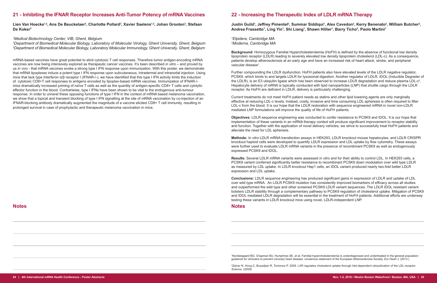# **21 - Inhibiting the IFNAR Receptor Increases Anti-Tumor Potency of mRNA Vaccines**

**Lien Van Hoecke1,2, Ans De Beuckelaer<sup>3</sup> , Charlotte Pollard<sup>3</sup> , Xavier Saelens1,2, Johan Grooten3 , Stefaan De Koker<sup>3</sup>**

#### *1 Medical Biotechnology Center, VIB, Ghent, Belgium*

*2 Department of Biomedical Molecular Biology, Laboratory of Molecular Virology, Ghent University, Ghent, Belgium 3 Department of Biomedical Molecular Biology, Laboratory Molecular Immunology, Ghent University, Ghent, Belgium*

**Background:** Homozygous Familial Hypercholesterolemia (HoFH) is defined by the absence of functional low density lipoprotein receptor (LDLR) leading to severely elevated low density lipoprotein cholesterol (LDL-c). As a consequence, patients develop atherosclerosis at an early age and have an increased risk of heart attack, stroke, and peripheral vascular disease<sup>1</sup>.

mRNA-based vaccines have great potential to elicit cytotoxic T cell responses. Therefore tumor antigen-encoding mRNA vaccines are now being intensively explored as therapeutic cancer vaccines. It's been described *in vitro* – and proved by us *in vivo* - that mRNA vaccines evoke a strong type I IFN response upon immunization. With this poster, we demonstrate that mRNA lipoplexes induce a potent type I IFN response upon subcutaneous, intradermal and intranodal injection. Using mice that lack type Interferon α/β receptor I (IFNAR-/-), we have identified that this type I IFN activity limits the induction of cytotoxic CD8+T cell responses to antigens encoded by lipoplex-based mRNA vaccines. Immunization of IFNAR-/ mice dramatically increased priming of naïve T cells as well as the quantity of antigen-specific CD8+ T cells and cytolytic effector function in the blood. Contrariwise, type I IFNs have been shown to be vital to the endogenous anti-tumour response. In order to unravel these opposing functions of type I IFN in the context of mRNA based melanoma vaccination, we show that a topical and transient blocking of type I IFN signalling at the site of mRNA vaccination by co-injection of an IFNAR-blocking antibody dramatically augmented the magnitude of a vaccine elicited CD8+ T cell immunity, resulting in prolonged survival in case of prophylactic and therapeutic melanoma vaccination in mice.

# **22 - Increasing the Therapeutic Index of LDLR mRNA Therapy**

# **Justin Guild<sup>1</sup> , Jeffrey Pimentel<sup>2</sup> , Summar Siddiqui<sup>1</sup> , Alex Cavedon<sup>2</sup> , Kerry Benenato<sup>2</sup> , William Butcher<sup>2</sup> ,**

**Andrea Frassetto<sup>1</sup> , Ling Yin<sup>1</sup> , Shi Liang<sup>1</sup> , Shawn Hillier<sup>1</sup> , Barry Ticho<sup>2</sup> , Paolo Martini1**

*1 Elpidera, Cambridge MA 2 Moderna, Cambridge MA*

Further compounding the LDLR dysfunction, HoFH patients also have elevated levels of the LDLR negative regulator, PCSK9, which binds to and targets LDLR for lysosomal digestion. Another regulator of LDLR, IDOL (Inducible Degrader of the LDLR), is an E3 ubiquitin ligase which has been observed to increase LDLR degradation and reduce plasma LDL-c<sup>2</sup>. Hepatocyte delivery of mRNA is typically conducted with lipid nanoparticles (LNP) that shuttle cargo through the LDLR receptor. As HoFH are deficient in LDLR, delivery is particularly challenging.

Current treatments do not meet HoFH patient needs as statins and other lipid lowering agents are only marginally effective at reducing LDL-c levels. Instead, costly, invasive and time consuming LDL apheresis is often required to filter LDL-c from the blood. It is our hope that the LDLR restoration with sequence engineered mRNA in novel non-LDLR mediated LNP formulations will improve the quality of life of HoFH patients.

**Objectives:** LDLR sequence engineering was conducted to confer resistance to PCSK9 and IDOL. It is our hope that implementation of these variants in an mRNA therapy context will produce significant improvement to receptor stability and function. Together with the application of novel delivery vehicles, we strive to successfully treat HoFH patients and alleviate the need for LDL apheresis.

**Methods:** *In vitro* LDLR mRNA transfection assays in HEK293, LDLR knockout mouse hepatocytes, and LDLR CRISPR knockout haploid cells were developed to quantify LDLR expression and LDL uptake by flow cytometry. These assays were further used to evaluate LDLR mRNA variants in the presence of recombinant PCSK9 as well as endogenously expressed PCSK9 and IDOL.

**Results:** Several LDLR mRNA variants were assessed *in vitro* and for their ability to control LDL. In HEK293 cells, a PCSK9 variant conferred significantly better resistance to recombinant PCSK9 down modulation over wild type LDLR as measured by LDL uptake. In LDLR knockout Hap1 cells, an IDOL variant produced nearly two-fold better LDLR expression and LDL uptake.

**Conclusions:** LDLR sequence engineering has produced significant gains in expression of LDLR and uptake of LDL over wild type mRNA. An LDLR PCSK9 mutation has consistently improved biomarkers of efficacy across all studies and outperformed the wild type and other screened PCSK9 LDLR variant sequences. The LDLR IDOL resistant variant bolsters LDLR stability through a complementary pathway to PCSK9 regulation of cholesterol uptake. Mitigation of PCSK9 and IDOL mediated LDLR degradation will be essential in the treatment of HoFH patients. Additional efforts are underway testing these variants in LDLR knockout mice using novel, LDLR-independent LNP.

**Notes**

1 Nordestgaard BG, Chapman MJ, Humphries SE, et al. Familial hypercholesterolemia is underdiagnosed and undertreated in the general population: guidance for clinicians to prevent coronary heart disease: consensus statement of the European Atherosclerosis Society. *Eur Heart J*. (2013.)

2 Zelcer N, Hong C, Boyadjian R, Tontonoz P. 2009. LXR regulates cholesterol uptake through Idol-dependent ubiquitination of the LDL receptor. *Science*. (2009)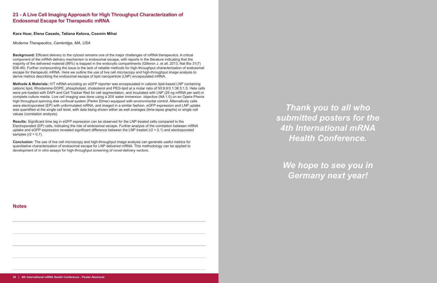# **23 - A Live Cell Imaging Approach for High Throughput Characterization of Endosomal Escape for Therapeutic mRNA**

**Kara Hoar, Elena Casado, Tatiana Ketova, Cosmin Mihai**

*Moderna Therapeutics, Cambridge, MA, USA*

**Background:** Efficient delivery to the cytosol remains one of the major challenges of mRNA therapeutics. A critical component of the mRNA delivery mechanism is endosomal escape, with reports in the literature indicating that the majority of the delivered material (99%) is trapped in the endocytic compartments (Gilleron J. et all. 2013, Nat Bio 31(7) 638-46). Further compounding the issue is the lack of reliable methods for high-throughput characterization of endosomal escape for therapeutic mRNA. Here we outline the use of live cell microscopy and high-throughput image analysis to derive metrics describing the endosomal escape of lipid nanoparticle (LNP) encapsulated mRNA.

**Results:** Significant time lag in eGFP expression can be observed for the LNP-treated cells compared to the Electroporated (EP) cells, indicating the role of endosomal escape. Further analysis of the correlation between mRNA uptake and eGFP expression revealed significant difference between the LNP treated (r2 = 0.1) and electroporated samples  $(r2 = 0.7)$ .

**Methods & Materials:** IVT mRNA encoding an eGFP reporter was encapsulated in cationic lipid-based LNP containing cationic lipid, Rhodamine-DOPE, phospholipid, cholesterol and PEG-lipid at a molar ratio of 50:9.9:0.1:38.5:1.5. Hela cells were pre-loaded with DAPI and Cell Tracker Red for cell segmentation, and incubated with LNP (25 ng mRNA per well) in complete culture media. Live cell imaging was done using a 20X water immersion objective (NA 1.0) on an Opera Phenix high throughput spinning disk confocal system (Perkin Elmer) equipped with environmental control. Alternatively cells were electroporated (EP) with unformulated mRNA, and imaged in a similar fashion. eGFP expression and LNP uptake was quantified at the single cell level, with data being shown either as well averages (time-lapse graphs) or single cell values (correlation analysis).

**Conclusion:** The use of live cell microscopy and high-throughput image analysis can generate useful metrics for quantitative characterization of endosomal escape for LNP delivered mRNA. This methodology can be applied to development of *in vitro* assays for high-throughput screening of novel-delivery vectors.

**Notes**

*Thank you to all who submitted posters for the 4th International mRNA Health Conference.*

*We hope to see you in Germany next year!*